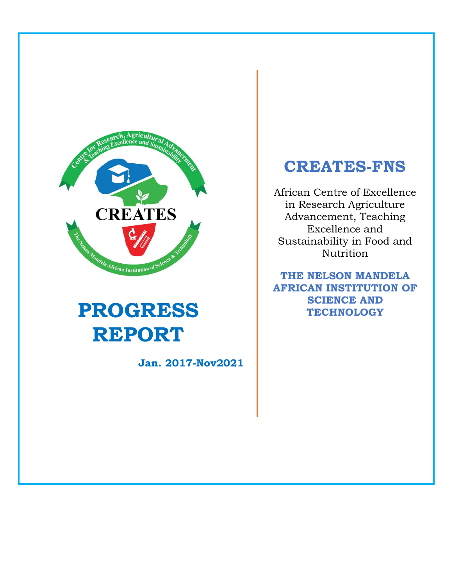

# **PROGRESS REPORT**

**Jan. 2017-Nov2021**

## **CREATES-FNS**

African Centre of Excellence in Research Agriculture Advancement, Teaching Excellence and Sustainability in Food and Nutrition

**THE NELSON MANDELA AFRICAN INSTITUTION OF SCIENCE AND TECHNOLOGY**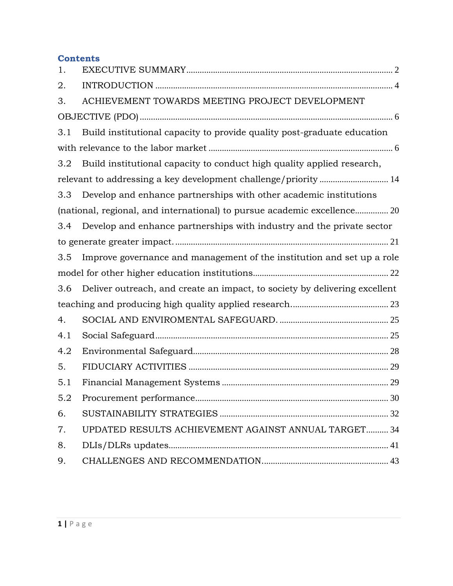## **Contents**

| 1.  |                                                                            |  |
|-----|----------------------------------------------------------------------------|--|
| 2.  |                                                                            |  |
| 3.  | ACHIEVEMENT TOWARDS MEETING PROJECT DEVELOPMENT                            |  |
|     |                                                                            |  |
| 3.1 | Build institutional capacity to provide quality post-graduate education    |  |
|     |                                                                            |  |
| 3.2 | Build institutional capacity to conduct high quality applied research,     |  |
|     |                                                                            |  |
| 3.3 | Develop and enhance partnerships with other academic institutions          |  |
|     | (national, regional, and international) to pursue academic excellence 20   |  |
| 3.4 | Develop and enhance partnerships with industry and the private sector      |  |
|     |                                                                            |  |
| 3.5 | Improve governance and management of the institution and set up a role     |  |
|     |                                                                            |  |
| 3.6 | Deliver outreach, and create an impact, to society by delivering excellent |  |
|     |                                                                            |  |
| 4.  |                                                                            |  |
| 4.1 |                                                                            |  |
| 4.2 |                                                                            |  |
| 5.  |                                                                            |  |
| 5.1 |                                                                            |  |
| 5.2 |                                                                            |  |
| 6.  |                                                                            |  |
| 7.  | UPDATED RESULTS ACHIEVEMENT AGAINST ANNUAL TARGET 34                       |  |
| 8.  |                                                                            |  |
| 9.  |                                                                            |  |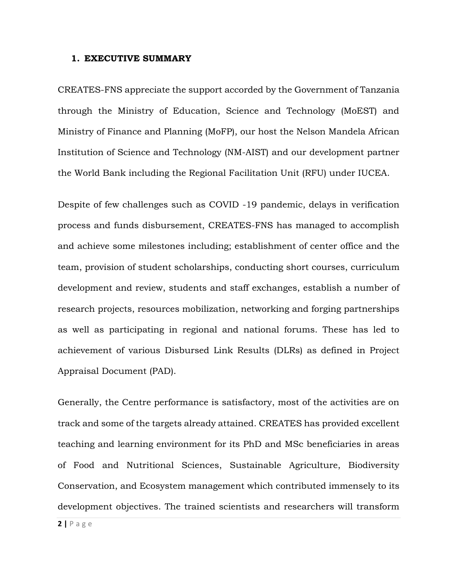#### <span id="page-2-0"></span>**1. EXECUTIVE SUMMARY**

CREATES-FNS appreciate the support accorded by the Government of Tanzania through the Ministry of Education, Science and Technology (MoEST) and Ministry of Finance and Planning (MoFP), our host the Nelson Mandela African Institution of Science and Technology (NM-AIST) and our development partner the World Bank including the Regional Facilitation Unit (RFU) under IUCEA.

Despite of few challenges such as COVID -19 pandemic, delays in verification process and funds disbursement, CREATES-FNS has managed to accomplish and achieve some milestones including; establishment of center office and the team, provision of student scholarships, conducting short courses, curriculum development and review, students and staff exchanges, establish a number of research projects, resources mobilization, networking and forging partnerships as well as participating in regional and national forums. These has led to achievement of various Disbursed Link Results (DLRs) as defined in Project Appraisal Document (PAD).

Generally, the Centre performance is satisfactory, most of the activities are on track and some of the targets already attained. CREATES has provided excellent teaching and learning environment for its PhD and MSc beneficiaries in areas of Food and Nutritional Sciences, Sustainable Agriculture, Biodiversity Conservation, and Ecosystem management which contributed immensely to its development objectives. The trained scientists and researchers will transform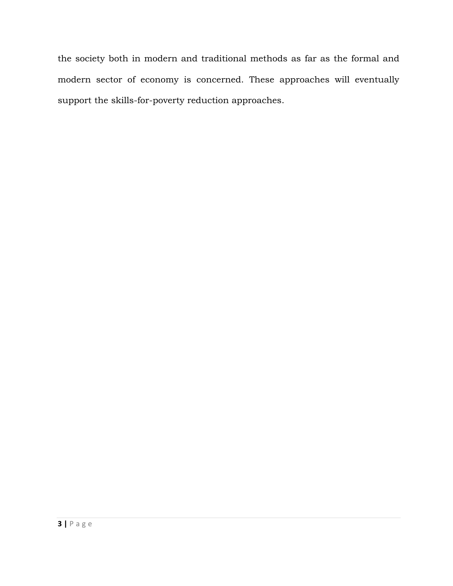the society both in modern and traditional methods as far as the formal and modern sector of economy is concerned. These approaches will eventually support the skills-for-poverty reduction approaches.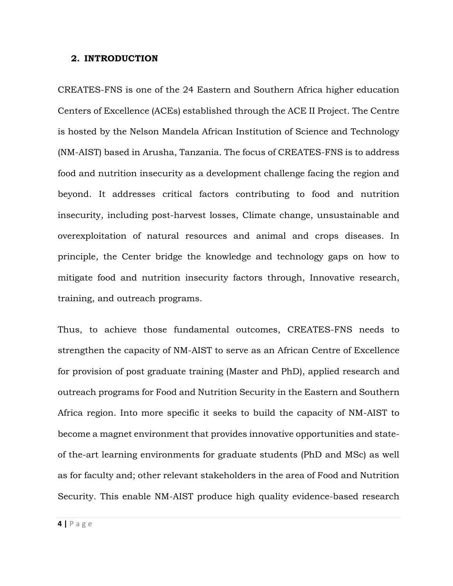#### <span id="page-4-0"></span>**2. INTRODUCTION**

CREATES-FNS is one of the 24 Eastern and Southern Africa higher education Centers of Excellence (ACEs) established through the ACE II Project. The Centre is hosted by the Nelson Mandela African Institution of Science and Technology (NM-AIST) based in Arusha, Tanzania. The focus of CREATES-FNS is to address food and nutrition insecurity as a development challenge facing the region and beyond. It addresses critical factors contributing to food and nutrition insecurity, including post-harvest losses, Climate change, unsustainable and overexploitation of natural resources and animal and crops diseases. In principle, the Center bridge the knowledge and technology gaps on how to mitigate food and nutrition insecurity factors through, Innovative research, training, and outreach programs.

Thus, to achieve those fundamental outcomes, CREATES-FNS needs to strengthen the capacity of NM-AIST to serve as an African Centre of Excellence for provision of post graduate training (Master and PhD), applied research and outreach programs for Food and Nutrition Security in the Eastern and Southern Africa region. Into more specific it seeks to build the capacity of NM-AIST to become a magnet environment that provides innovative opportunities and stateof the-art learning environments for graduate students (PhD and MSc) as well as for faculty and; other relevant stakeholders in the area of Food and Nutrition Security. This enable NM-AIST produce high quality evidence-based research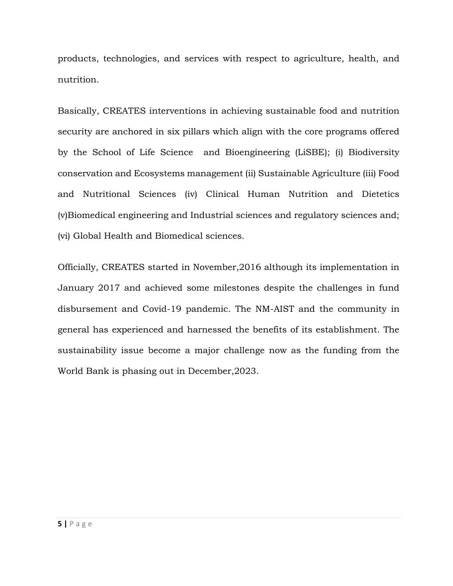products, technologies, and services with respect to agriculture, health, and nutrition.

Basically, CREATES interventions in achieving sustainable food and nutrition security are anchored in six pillars which align with the core programs offered by the School of Life Science and Bioengineering (LiSBE); (i) Biodiversity conservation and Ecosystems management (ii) Sustainable Agriculture (iii) Food and Nutritional Sciences (iv) Clinical Human Nutrition and Dietetics (v)Biomedical engineering and Industrial sciences and regulatory sciences and; (vi) Global Health and Biomedical sciences.

Officially, CREATES started in November,2016 although its implementation in January 2017 and achieved some milestones despite the challenges in fund disbursement and Covid-19 pandemic. The NM-AIST and the community in general has experienced and harnessed the benefits of its establishment. The sustainability issue become a major challenge now as the funding from the World Bank is phasing out in December,2023.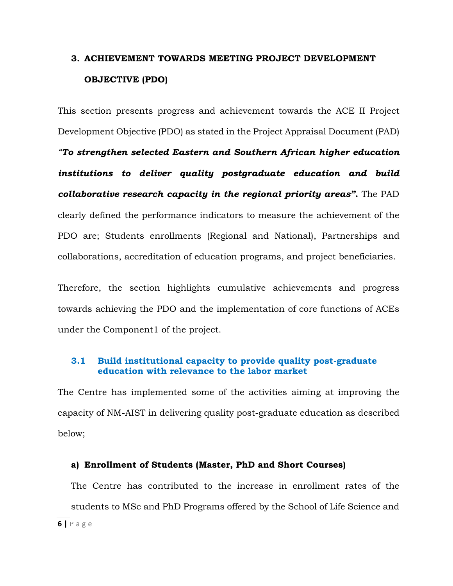## <span id="page-6-0"></span>**3. ACHIEVEMENT TOWARDS MEETING PROJECT DEVELOPMENT OBJECTIVE (PDO)**

This section presents progress and achievement towards the ACE II Project Development Objective (PDO) as stated in the Project Appraisal Document (PAD) *"To strengthen selected Eastern and Southern African higher education institutions to deliver quality postgraduate education and build collaborative research capacity in the regional priority areas".* The PAD clearly defined the performance indicators to measure the achievement of the PDO are; Students enrollments (Regional and National), Partnerships and collaborations, accreditation of education programs, and project beneficiaries.

Therefore, the section highlights cumulative achievements and progress towards achieving the PDO and the implementation of core functions of ACEs under the Component1 of the project.

### <span id="page-6-1"></span>**3.1 Build institutional capacity to provide quality post-graduate education with relevance to the labor market**

The Centre has implemented some of the activities aiming at improving the capacity of NM-AIST in delivering quality post-graduate education as described below;

#### **a) Enrollment of Students (Master, PhD and Short Courses)**

**6 |** P a g e The Centre has contributed to the increase in enrollment rates of the students to MSc and PhD Programs offered by the School of Life Science and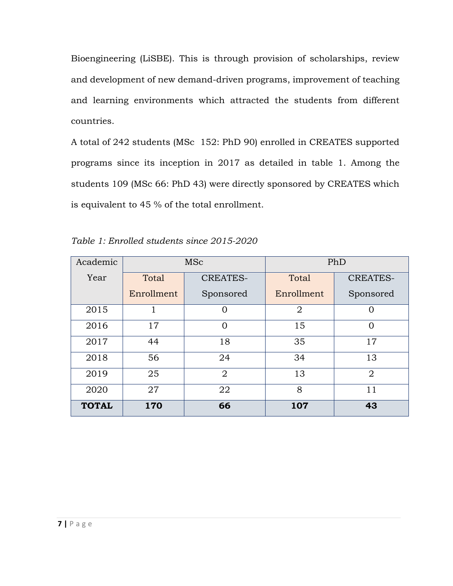Bioengineering (LiSBE). This is through provision of scholarships, review and development of new demand-driven programs, improvement of teaching and learning environments which attracted the students from different countries.

A total of 242 students (MSc 152: PhD 90) enrolled in CREATES supported programs since its inception in 2017 as detailed in table 1. Among the students 109 (MSc 66: PhD 43) were directly sponsored by CREATES which is equivalent to 45 % of the total enrollment.

| Academic     |            | <b>MSc</b>      |                | PhD             |
|--------------|------------|-----------------|----------------|-----------------|
| Year         | Total      | <b>CREATES-</b> | Total          | <b>CREATES-</b> |
|              | Enrollment | Sponsored       | Enrollment     | Sponsored       |
| 2015         |            | 0               | $\overline{2}$ | $\Omega$        |
| 2016         | 17         | 0               | 15             | $\Omega$        |
| 2017         | 44         | 18              | 35             | 17              |
| 2018         | 56         | 24              | 34             | 13              |
| 2019         | 25         | $\overline{2}$  | 13             | $\overline{2}$  |
| 2020         | 27         | 22              | 8              | 11              |
| <b>TOTAL</b> | 170        | 66              | 107            | 43              |

*Table 1: Enrolled students since 2015-2020*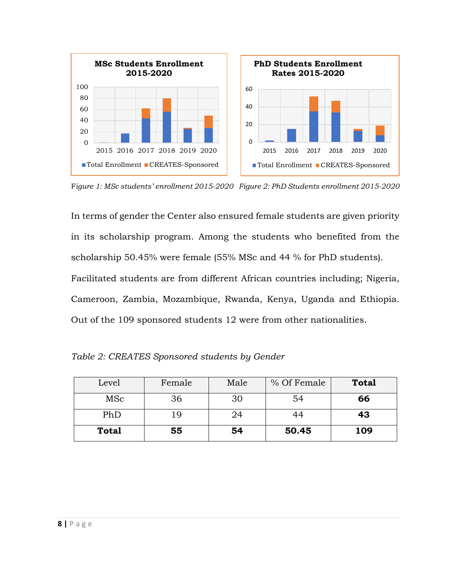

F*igure 1: MSc students' enrollment 2015-2020 Figure 2: PhD Students enrollment 2015-2020*

In terms of gender the Center also ensured female students are given priority in its scholarship program. Among the students who benefited from the scholarship 50.45% were female (55% MSc and 44 % for PhD students). Facilitated students are from different African countries including; Nigeria, Cameroon, Zambia, Mozambique, Rwanda, Kenya, Uganda and Ethiopia. Out of the 109 sponsored students 12 were from other nationalities.

| Level        | Female | Male | % Of Female | <b>Total</b> |
|--------------|--------|------|-------------|--------------|
| MSc          | 36     | 30   | 54          | 66           |
| PhD          | 19     | 24   | 44          | 43           |
| <b>Total</b> | 55     | 54   | 50.45       | 109          |

*Table 2: CREATES Sponsored students by Gender*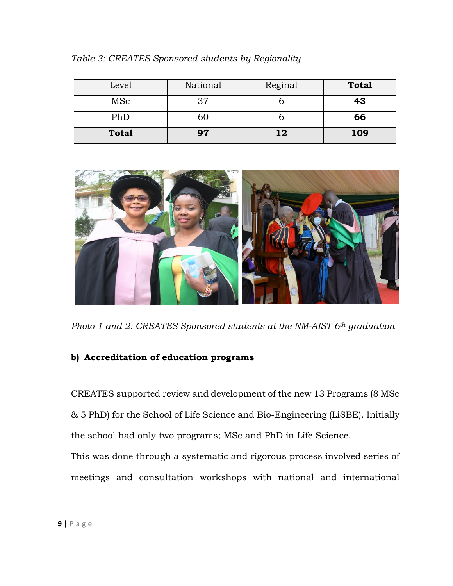| Level        | National | Reginal | <b>Total</b> |
|--------------|----------|---------|--------------|
| MSc          | 37       |         | 43           |
| PhD          | 60       |         | 66           |
| <b>Total</b> | 97       | 12      | 109          |

*Table 3: CREATES Sponsored students by Regionality* 



*Photo 1 and 2: CREATES Sponsored students at the NM-AIST 6th graduation* 

## **b) Accreditation of education programs**

CREATES supported review and development of the new 13 Programs (8 MSc & 5 PhD) for the School of Life Science and Bio-Engineering (LiSBE). Initially the school had only two programs; MSc and PhD in Life Science.

This was done through a systematic and rigorous process involved series of meetings and consultation workshops with national and international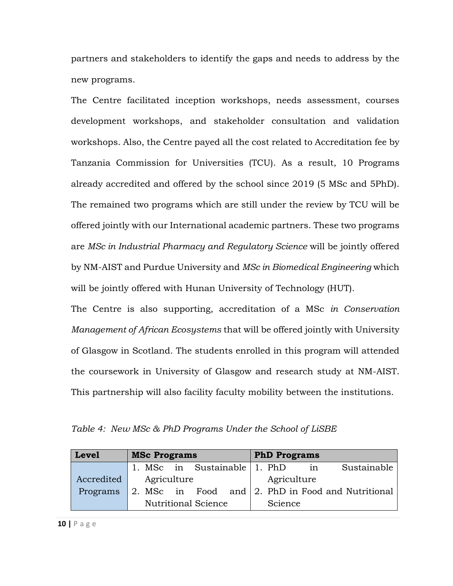partners and stakeholders to identify the gaps and needs to address by the new programs.

The Centre facilitated inception workshops, needs assessment, courses development workshops, and stakeholder consultation and validation workshops. Also, the Centre payed all the cost related to Accreditation fee by Tanzania Commission for Universities (TCU). As a result, 10 Programs already accredited and offered by the school since 2019 (5 MSc and 5PhD). The remained two programs which are still under the review by TCU will be offered jointly with our International academic partners. These two programs are *MSc in Industrial Pharmacy and Regulatory Science* will be jointly offered by NM-AIST and Purdue University and *MSc in Biomedical Engineering* which will be jointly offered with Hunan University of Technology (HUT).

The Centre is also supporting, accreditation of a MSc *in Conservation Management of African Ecosystems* that will be offered jointly with University of Glasgow in Scotland. The students enrolled in this program will attended the coursework in University of Glasgow and research study at NM-AIST. This partnership will also facility faculty mobility between the institutions.

*Table 4: New MSc & PhD Programs Under the School of LiSBE*

| <b>Level</b> | <b>MSc Programs</b><br><b>PhD Programs</b>        |             |
|--------------|---------------------------------------------------|-------------|
|              | 1. MSc in Sustainable 1. PhD<br>in                | Sustainable |
| Accredited   | Agriculture<br>Agriculture                        |             |
| Programs     | 2. MSc in Food and 2. PhD in Food and Nutritional |             |
|              | <b>Nutritional Science</b><br>Science             |             |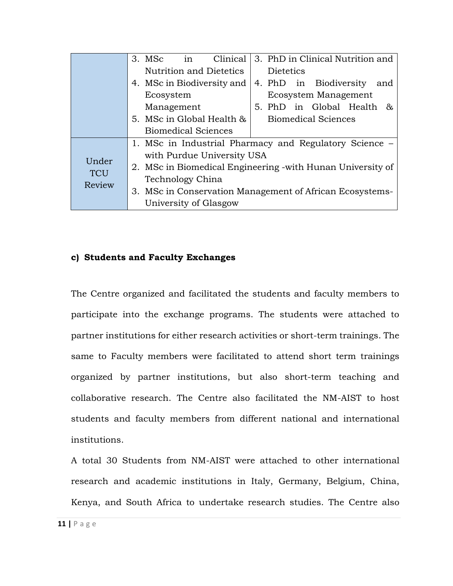|            | 3. MSc                     | in | Clinical                                                    |  |                  | 3. PhD in Clinical Nutrition and |     |
|------------|----------------------------|----|-------------------------------------------------------------|--|------------------|----------------------------------|-----|
|            |                            |    | Nutrition and Dietetics                                     |  | <b>Dietetics</b> |                                  |     |
|            |                            |    | 4. MSc in Biodiversity and                                  |  |                  | 4. PhD in Biodiversity           | and |
|            | Ecosystem                  |    |                                                             |  |                  | Ecosystem Management             |     |
|            | Management                 |    |                                                             |  |                  | 5. PhD in Global Health &        |     |
|            |                            |    | 5. MSc in Global Health &                                   |  |                  | <b>Biomedical Sciences</b>       |     |
|            | <b>Biomedical Sciences</b> |    |                                                             |  |                  |                                  |     |
|            |                            |    | 1. MSc in Industrial Pharmacy and Regulatory Science –      |  |                  |                                  |     |
|            |                            |    | with Purdue University USA                                  |  |                  |                                  |     |
| Under      |                            |    | 2. MSc in Biomedical Engineering - with Hunan University of |  |                  |                                  |     |
| <b>TCU</b> | Technology China           |    |                                                             |  |                  |                                  |     |
| Review     |                            |    | 3. MSc in Conservation Management of African Ecosystems-    |  |                  |                                  |     |
|            | University of Glasgow      |    |                                                             |  |                  |                                  |     |

#### **c) Students and Faculty Exchanges**

The Centre organized and facilitated the students and faculty members to participate into the exchange programs. The students were attached to partner institutions for either research activities or short-term trainings. The same to Faculty members were facilitated to attend short term trainings organized by partner institutions, but also short-term teaching and collaborative research. The Centre also facilitated the NM-AIST to host students and faculty members from different national and international institutions.

A total 30 Students from NM-AIST were attached to other international research and academic institutions in Italy, Germany, Belgium, China, Kenya, and South Africa to undertake research studies. The Centre also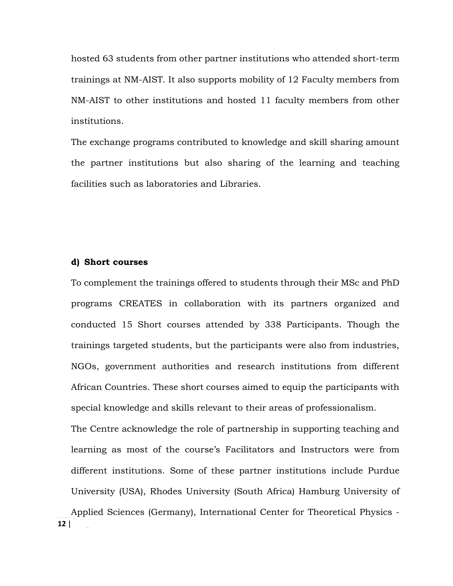hosted 63 students from other partner institutions who attended short-term trainings at NM-AIST. It also supports mobility of 12 Faculty members from NM-AIST to other institutions and hosted 11 faculty members from other institutions.

The exchange programs contributed to knowledge and skill sharing amount the partner institutions but also sharing of the learning and teaching facilities such as laboratories and Libraries.

#### **d) Short courses**

To complement the trainings offered to students through their MSc and PhD programs CREATES in collaboration with its partners organized and conducted 15 Short courses attended by 338 Participants. Though the trainings targeted students, but the participants were also from industries, NGOs, government authorities and research institutions from different African Countries. These short courses aimed to equip the participants with special knowledge and skills relevant to their areas of professionalism.

The Centre acknowledge the role of partnership in supporting teaching and learning as most of the course's Facilitators and Instructors were from different institutions. Some of these partner institutions include Purdue University (USA), Rhodes University (South Africa) Hamburg University of Applied Sciences (Germany), International Center for Theoretical Physics -

 $12 |$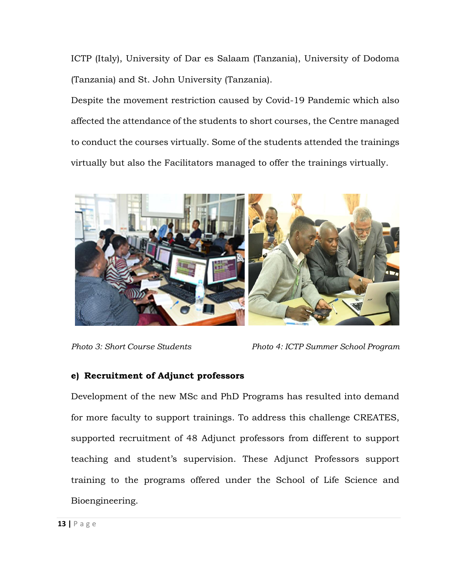ICTP (Italy), University of Dar es Salaam (Tanzania), University of Dodoma (Tanzania) and St. John University (Tanzania).

Despite the movement restriction caused by Covid-19 Pandemic which also affected the attendance of the students to short courses, the Centre managed to conduct the courses virtually. Some of the students attended the trainings virtually but also the Facilitators managed to offer the trainings virtually.



*Photo 3: Short Course Students Photo 4: ICTP Summer School Program*

## **e) Recruitment of Adjunct professors**

Development of the new MSc and PhD Programs has resulted into demand for more faculty to support trainings. To address this challenge CREATES, supported recruitment of 48 Adjunct professors from different to support teaching and student's supervision. These Adjunct Professors support training to the programs offered under the School of Life Science and Bioengineering.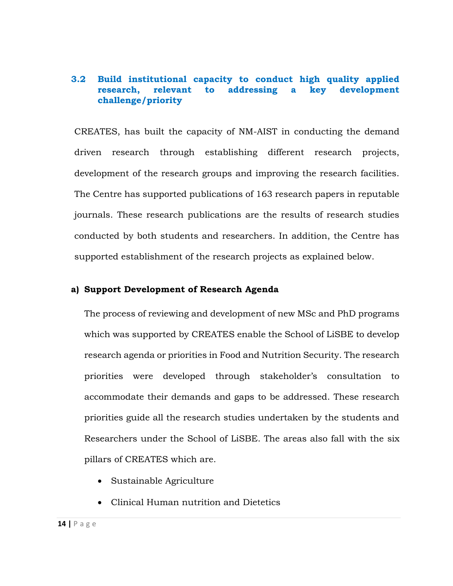## <span id="page-14-0"></span>**3.2 Build institutional capacity to conduct high quality applied research, relevant to addressing a key development challenge/priority**

CREATES, has built the capacity of NM-AIST in conducting the demand driven research through establishing different research projects, development of the research groups and improving the research facilities. The Centre has supported publications of 163 research papers in reputable journals. These research publications are the results of research studies conducted by both students and researchers. In addition, the Centre has supported establishment of the research projects as explained below.

#### **a) Support Development of Research Agenda**

The process of reviewing and development of new MSc and PhD programs which was supported by CREATES enable the School of LiSBE to develop research agenda or priorities in Food and Nutrition Security. The research priorities were developed through stakeholder's consultation to accommodate their demands and gaps to be addressed. These research priorities guide all the research studies undertaken by the students and Researchers under the School of LiSBE. The areas also fall with the six pillars of CREATES which are.

- Sustainable Agriculture
- Clinical Human nutrition and Dietetics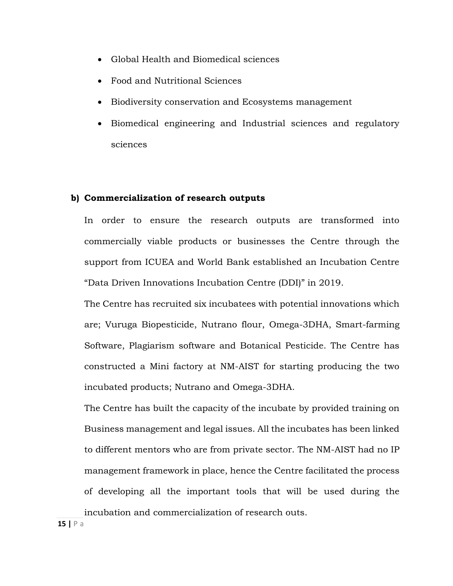- Global Health and Biomedical sciences
- Food and Nutritional Sciences
- Biodiversity conservation and Ecosystems management
- Biomedical engineering and Industrial sciences and regulatory sciences

#### **b) Commercialization of research outputs**

In order to ensure the research outputs are transformed into commercially viable products or businesses the Centre through the support from ICUEA and World Bank established an Incubation Centre "Data Driven Innovations Incubation Centre (DDI)" in 2019.

The Centre has recruited six incubatees with potential innovations which are; Vuruga Biopesticide, Nutrano flour, Omega-3DHA, Smart-farming Software, Plagiarism software and Botanical Pesticide. The Centre has constructed a Mini factory at NM-AIST for starting producing the two incubated products; Nutrano and Omega-3DHA.

The Centre has built the capacity of the incubate by provided training on Business management and legal issues. All the incubates has been linked to different mentors who are from private sector. The NM-AIST had no IP management framework in place, hence the Centre facilitated the process of developing all the important tools that will be used during the incubation and commercialization of research outs.

**15** | **P** a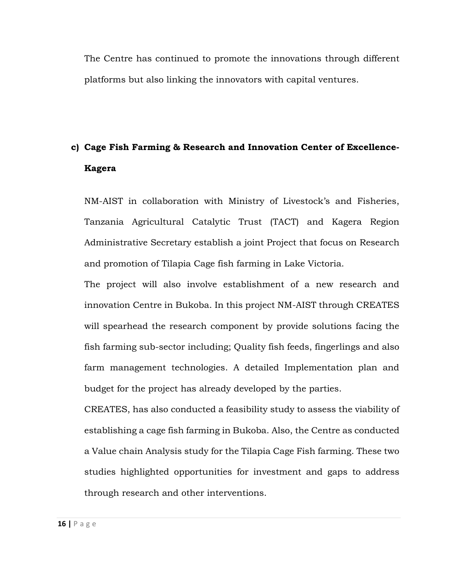The Centre has continued to promote the innovations through different platforms but also linking the innovators with capital ventures.

## **c) Cage Fish Farming & Research and Innovation Center of Excellence-Kagera**

NM-AIST in collaboration with Ministry of Livestock's and Fisheries, Tanzania Agricultural Catalytic Trust (TACT) and Kagera Region Administrative Secretary establish a joint Project that focus on Research and promotion of Tilapia Cage fish farming in Lake Victoria.

The project will also involve establishment of a new research and innovation Centre in Bukoba. In this project NM-AIST through CREATES will spearhead the research component by provide solutions facing the fish farming sub-sector including; Quality fish feeds, fingerlings and also farm management technologies. A detailed Implementation plan and budget for the project has already developed by the parties.

CREATES, has also conducted a feasibility study to assess the viability of establishing a cage fish farming in Bukoba. Also, the Centre as conducted a Value chain Analysis study for the Tilapia Cage Fish farming. These two studies highlighted opportunities for investment and gaps to address through research and other interventions.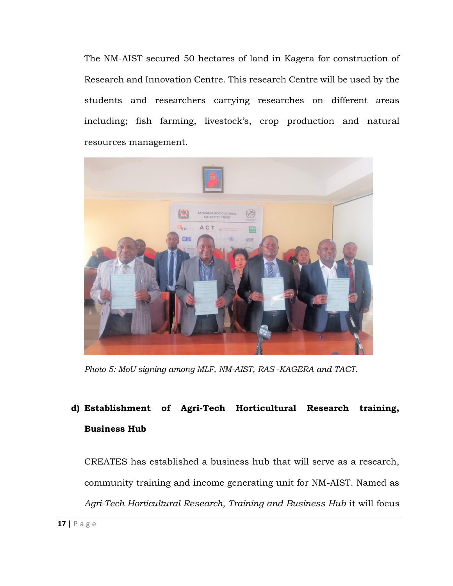The NM-AIST secured 50 hectares of land in Kagera for construction of Research and Innovation Centre. This research Centre will be used by the students and researchers carrying researches on different areas including; fish farming, livestock's, crop production and natural resources management.



*Photo 5: MoU signing among MLF, NM-AIST, RAS -KAGERA and TACT.*

## **d) Establishment of Agri-Tech Horticultural Research training, Business Hub**

CREATES has established a business hub that will serve as a research, community training and income generating unit for NM-AIST. Named as *Agri-Tech Horticultural Research, Training and Business Hub* it will focus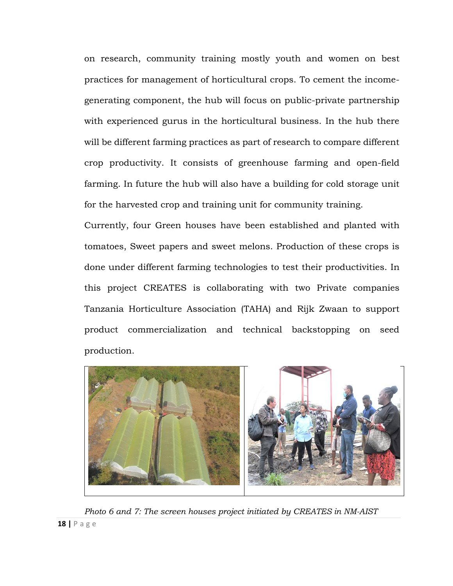on research, community training mostly youth and women on best practices for management of horticultural crops. To cement the incomegenerating component, the hub will focus on public-private partnership with experienced gurus in the horticultural business. In the hub there will be different farming practices as part of research to compare different crop productivity. It consists of greenhouse farming and open-field farming. In future the hub will also have a building for cold storage unit for the harvested crop and training unit for community training.

Currently, four Green houses have been established and planted with tomatoes, Sweet papers and sweet melons. Production of these crops is done under different farming technologies to test their productivities. In this project CREATES is collaborating with two Private companies Tanzania Horticulture Association (TAHA) and Rijk Zwaan to support product commercialization and technical backstopping on seed production.



**18 |** P a g e *Photo 6 and 7: The screen houses project initiated by CREATES in NM-AIST*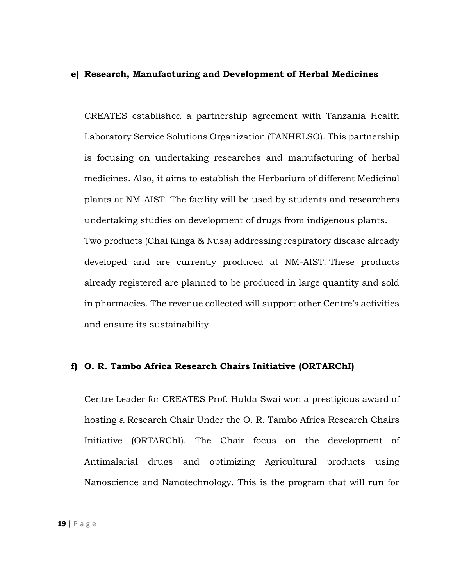#### **e) Research, Manufacturing and Development of Herbal Medicines**

CREATES established a partnership agreement with Tanzania Health Laboratory Service Solutions Organization (TANHELSO). This partnership is focusing on undertaking researches and manufacturing of herbal medicines. Also, it aims to establish the Herbarium of different Medicinal plants at NM-AIST. The facility will be used by students and researchers undertaking studies on development of drugs from indigenous plants. Two products (Chai Kinga & Nusa) addressing respiratory disease already developed and are currently produced at NM-AIST. These products already registered are planned to be produced in large quantity and sold in pharmacies. The revenue collected will support other Centre's activities

and ensure its sustainability.

#### **f) O. R. Tambo Africa Research Chairs Initiative (ORTARChI)**

Centre Leader for CREATES Prof. Hulda Swai won a prestigious award of hosting a Research Chair Under the O. R. Tambo Africa Research Chairs Initiative (ORTARChI). The Chair focus on the development of Antimalarial drugs and optimizing Agricultural products using Nanoscience and Nanotechnology. This is the program that will run for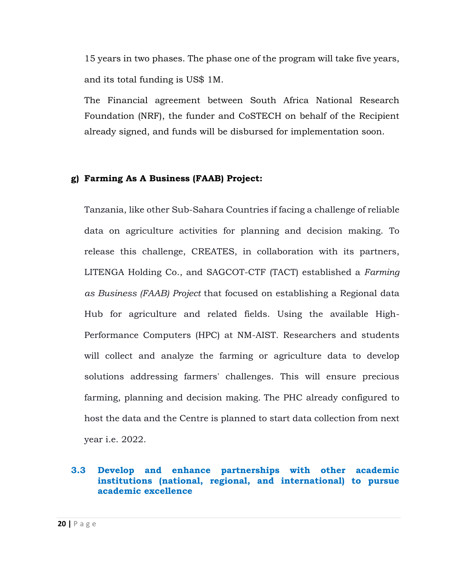15 years in two phases. The phase one of the program will take five years, and its total funding is US\$ 1M.

The Financial agreement between South Africa National Research Foundation (NRF), the funder and CoSTECH on behalf of the Recipient already signed, and funds will be disbursed for implementation soon.

#### **g) Farming As A Business (FAAB) Project:**

Tanzania, like other Sub-Sahara Countries if facing a challenge of reliable data on agriculture activities for planning and decision making. To release this challenge, CREATES, in collaboration with its partners, LITENGA Holding Co., and SAGCOT-CTF (TACT) established a *Farming as Business (FAAB) Project* that focused on establishing a Regional data Hub for agriculture and related fields. Using the available High-Performance Computers (HPC) at NM-AIST. Researchers and students will collect and analyze the farming or agriculture data to develop solutions addressing farmers' challenges. This will ensure precious farming, planning and decision making. The PHC already configured to host the data and the Centre is planned to start data collection from next year i.e. 2022.

#### <span id="page-20-0"></span>**3.3 Develop and enhance partnerships with other academic institutions (national, regional, and international) to pursue academic excellence**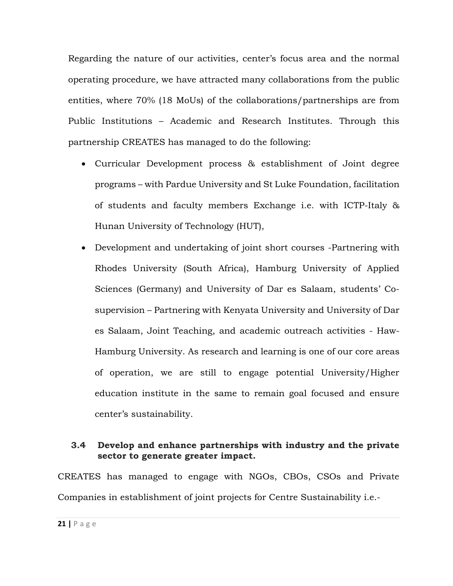Regarding the nature of our activities, center's focus area and the normal operating procedure, we have attracted many collaborations from the public entities, where 70% (18 MoUs) of the collaborations/partnerships are from Public Institutions – Academic and Research Institutes. Through this partnership CREATES has managed to do the following:

- Curricular Development process & establishment of Joint degree programs – with Pardue University and St Luke Foundation, facilitation of students and faculty members Exchange i.e. with ICTP-Italy & Hunan University of Technology (HUT),
- Development and undertaking of joint short courses -Partnering with Rhodes University (South Africa), Hamburg University of Applied Sciences (Germany) and University of Dar es Salaam, students' Cosupervision – Partnering with Kenyata University and University of Dar es Salaam, Joint Teaching, and academic outreach activities - Haw-Hamburg University. As research and learning is one of our core areas of operation, we are still to engage potential University/Higher education institute in the same to remain goal focused and ensure center's sustainability.

## <span id="page-21-0"></span>**3.4 Develop and enhance partnerships with industry and the private sector to generate greater impact.**

CREATES has managed to engage with NGOs, CBOs, CSOs and Private Companies in establishment of joint projects for Centre Sustainability i.e.-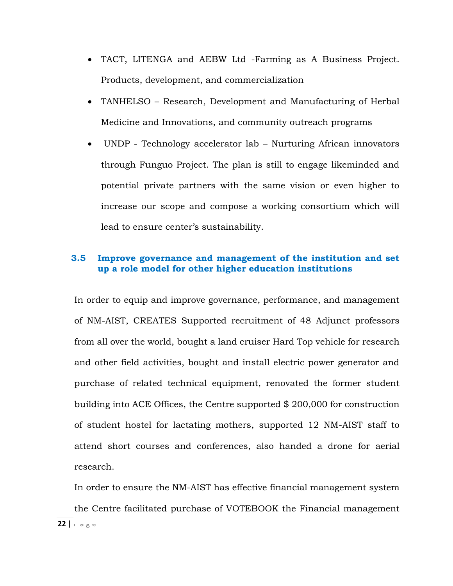- TACT, LITENGA and AEBW Ltd -Farming as A Business Project. Products, development, and commercialization
- TANHELSO Research, Development and Manufacturing of Herbal Medicine and Innovations, and community outreach programs
- UNDP Technology accelerator lab Nurturing African innovators through Funguo Project. The plan is still to engage likeminded and potential private partners with the same vision or even higher to increase our scope and compose a working consortium which will lead to ensure center's sustainability.

### <span id="page-22-0"></span>**3.5 Improve governance and management of the institution and set up a role model for other higher education institutions**

In order to equip and improve governance, performance, and management of NM-AIST, CREATES Supported recruitment of 48 Adjunct professors from all over the world, bought a land cruiser Hard Top vehicle for research and other field activities, bought and install electric power generator and purchase of related technical equipment, renovated the former student building into ACE Offices, the Centre supported \$ 200,000 for construction of student hostel for lactating mothers, supported 12 NM-AIST staff to attend short courses and conferences, also handed a drone for aerial research.

22 **| P** a g ∈ In order to ensure the NM-AIST has effective financial management system the Centre facilitated purchase of VOTEBOOK the Financial management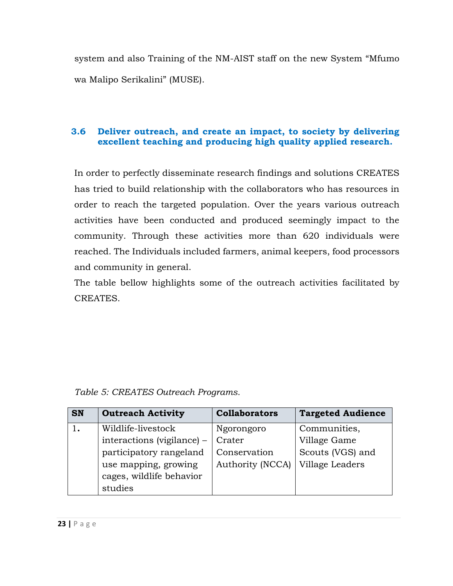system and also Training of the NM-AIST staff on the new System "Mfumo wa Malipo Serikalini" (MUSE).

## <span id="page-23-0"></span>**3.6 Deliver outreach, and create an impact, to society by delivering excellent teaching and producing high quality applied research.**

In order to perfectly disseminate research findings and solutions CREATES has tried to build relationship with the collaborators who has resources in order to reach the targeted population. Over the years various outreach activities have been conducted and produced seemingly impact to the community. Through these activities more than 620 individuals were reached. The Individuals included farmers, animal keepers, food processors and community in general.

The table bellow highlights some of the outreach activities facilitated by CREATES.

## *Table 5: CREATES Outreach Programs.*

| <b>SN</b> | <b>Outreach Activity</b>   | <b>Collaborators</b> | <b>Targeted Audience</b> |
|-----------|----------------------------|----------------------|--------------------------|
|           | Wildlife-livestock         | Ngorongoro           | Communities,             |
|           | interactions (vigilance) – | Crater               | Village Game             |
|           | participatory rangeland    | Conservation         | Scouts (VGS) and         |
|           | use mapping, growing       | Authority (NCCA)     | Village Leaders          |
|           | cages, wildlife behavior   |                      |                          |
|           | studies                    |                      |                          |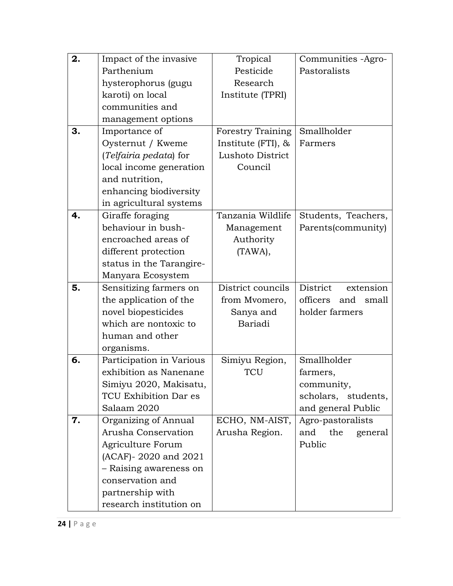| 2. | Impact of the invasive                      | Tropical                 | Communities -Agro-           |
|----|---------------------------------------------|--------------------------|------------------------------|
|    | Parthenium                                  | Pesticide                | Pastoralists                 |
|    | hysterophorus (gugu                         | Research                 |                              |
|    | karoti) on local                            | Institute (TPRI)         |                              |
|    | communities and                             |                          |                              |
|    | management options                          |                          |                              |
| 3. | Importance of                               | <b>Forestry Training</b> | Smallholder                  |
|    | Oysternut / Kweme                           | Institute $(FTI)$ , &    | Farmers                      |
|    | (Telfairia pedata) for                      | Lushoto District         |                              |
|    | local income generation                     | Council                  |                              |
|    | and nutrition,                              |                          |                              |
|    | enhancing biodiversity                      |                          |                              |
|    | in agricultural systems                     |                          |                              |
| 4. | Giraffe foraging                            | Tanzania Wildlife        | Students, Teachers,          |
|    | behaviour in bush-                          | Management               | Parents(community)           |
|    | encroached areas of                         | Authority                |                              |
|    | different protection                        | (TAWA),                  |                              |
|    | status in the Tarangire-                    |                          |                              |
|    | Manyara Ecosystem                           |                          |                              |
| 5. | Sensitizing farmers on                      | District councils        | <b>District</b><br>extension |
|    | the application of the                      | from Mvomero,            | officers<br>and small        |
|    | novel biopesticides                         | Sanya and                | holder farmers               |
|    | which are nontoxic to                       | Bariadi                  |                              |
|    | human and other                             |                          |                              |
|    |                                             |                          |                              |
|    | organisms.                                  |                          |                              |
| 6. | Participation in Various                    | Simiyu Region,           | Smallholder                  |
|    | exhibition as Nanenane                      | TCU                      | farmers,                     |
|    | Simiyu 2020, Makisatu,                      |                          | community,                   |
|    | TCU Exhibition Dar es                       |                          | scholars, students,          |
|    | Salaam 2020                                 |                          | and general Public           |
| 7. | Organizing of Annual                        | ECHO, NM-AIST,           | Agro-pastoralists            |
|    | Arusha Conservation                         | Arusha Region.           | the<br>and<br>general        |
|    | Agriculture Forum                           |                          | Public                       |
|    | (ACAF)- 2020 and 2021                       |                          |                              |
|    | – Raising awareness on                      |                          |                              |
|    | conservation and                            |                          |                              |
|    | partnership with<br>research institution on |                          |                              |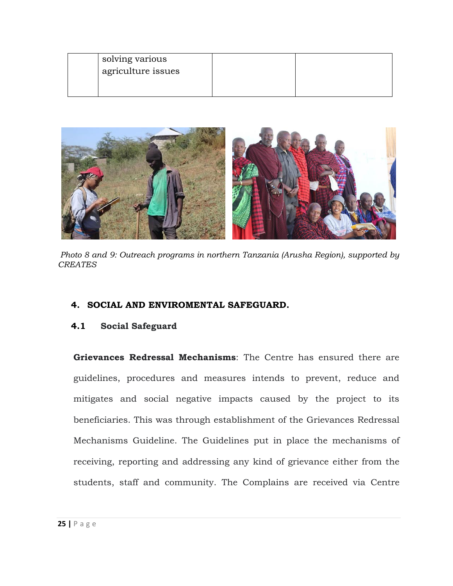| solving various    |  |  |
|--------------------|--|--|
| agriculture issues |  |  |
|                    |  |  |
|                    |  |  |



*Photo 8 and 9: Outreach programs in northern Tanzania (Arusha Region), supported by CREATES*

#### <span id="page-25-0"></span>**4. SOCIAL AND ENVIROMENTAL SAFEGUARD.**

#### <span id="page-25-1"></span>**4.1 Social Safeguard**

**Grievances Redressal Mechanisms**: The Centre has ensured there are guidelines, procedures and measures intends to prevent, reduce and mitigates and social negative impacts caused by the project to its beneficiaries. This was through establishment of the Grievances Redressal Mechanisms Guideline. The Guidelines put in place the mechanisms of receiving, reporting and addressing any kind of grievance either from the students, staff and community. The Complains are received via Centre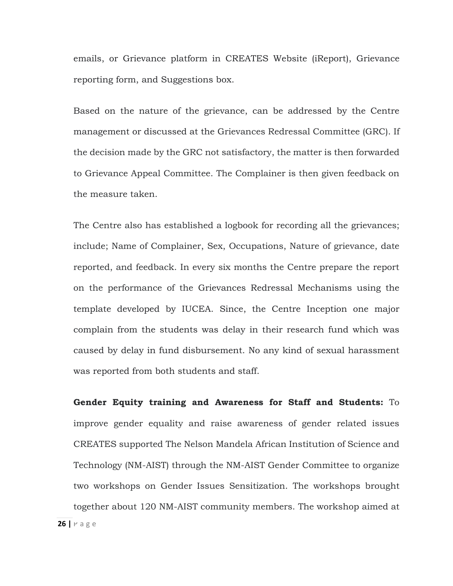emails, or Grievance platform in CREATES Website (iReport), Grievance reporting form, and Suggestions box.

Based on the nature of the grievance, can be addressed by the Centre management or discussed at the Grievances Redressal Committee (GRC). If the decision made by the GRC not satisfactory, the matter is then forwarded to Grievance Appeal Committee. The Complainer is then given feedback on the measure taken.

The Centre also has established a logbook for recording all the grievances; include; Name of Complainer, Sex, Occupations, Nature of grievance, date reported, and feedback. In every six months the Centre prepare the report on the performance of the Grievances Redressal Mechanisms using the template developed by IUCEA. Since, the Centre Inception one major complain from the students was delay in their research fund which was caused by delay in fund disbursement. No any kind of sexual harassment was reported from both students and staff.

**26 |** P a g e **Gender Equity training and Awareness for Staff and Students:** To improve gender equality and raise awareness of gender related issues CREATES supported The Nelson Mandela African Institution of Science and Technology (NM-AIST) through the NM-AIST Gender Committee to organize two workshops on Gender Issues Sensitization. The workshops brought together about 120 NM-AIST community members. The workshop aimed at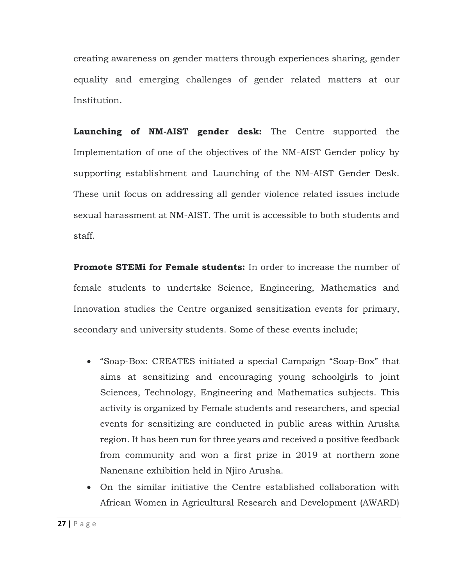creating awareness on gender matters through experiences sharing, gender equality and emerging challenges of gender related matters at our Institution.

**Launching of NM-AIST gender desk:** The Centre supported the Implementation of one of the objectives of the NM-AIST Gender policy by supporting establishment and Launching of the NM-AIST Gender Desk. These unit focus on addressing all gender violence related issues include sexual harassment at NM-AIST. The unit is accessible to both students and staff.

**Promote STEMi for Female students:** In order to increase the number of female students to undertake Science, Engineering, Mathematics and Innovation studies the Centre organized sensitization events for primary, secondary and university students. Some of these events include;

- "Soap-Box: CREATES initiated a special Campaign "Soap-Box" that aims at sensitizing and encouraging young schoolgirls to joint Sciences, Technology, Engineering and Mathematics subjects. This activity is organized by Female students and researchers, and special events for sensitizing are conducted in public areas within Arusha region. It has been run for three years and received a positive feedback from community and won a first prize in 2019 at northern zone Nanenane exhibition held in Njiro Arusha.
- On the similar initiative the Centre established collaboration with African Women in Agricultural Research and Development (AWARD)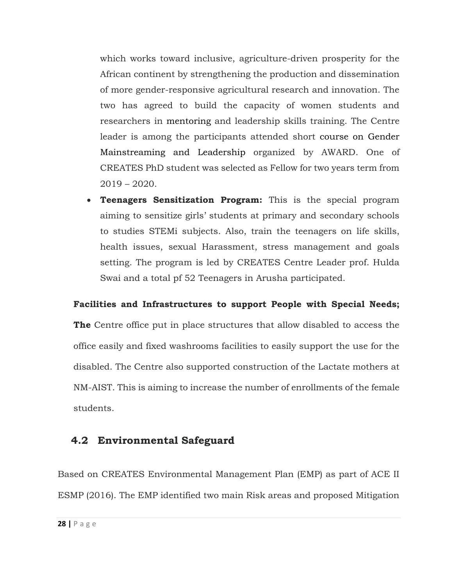which works toward inclusive, agriculture-driven prosperity for the African continent by strengthening the production and dissemination of more gender-responsive agricultural research and innovation. The two has agreed to build the capacity of women students and researchers in mentoring and leadership skills training. The Centre leader is among the participants attended short course on Gender Mainstreaming and Leadership organized by AWARD. One of CREATES PhD student was selected as Fellow for two years term from 2019 – 2020.

• **Teenagers Sensitization Program:** This is the special program aiming to sensitize girls' students at primary and secondary schools to studies STEMi subjects. Also, train the teenagers on life skills, health issues, sexual Harassment, stress management and goals setting. The program is led by CREATES Centre Leader prof. Hulda Swai and a total pf 52 Teenagers in Arusha participated.

## **Facilities and Infrastructures to support People with Special Needs;**

**The** Centre office put in place structures that allow disabled to access the office easily and fixed washrooms facilities to easily support the use for the disabled. The Centre also supported construction of the Lactate mothers at NM-AIST. This is aiming to increase the number of enrollments of the female students.

## <span id="page-28-0"></span>**4.2 Environmental Safeguard**

Based on CREATES Environmental Management Plan (EMP) as part of ACE II ESMP (2016). The EMP identified two main Risk areas and proposed Mitigation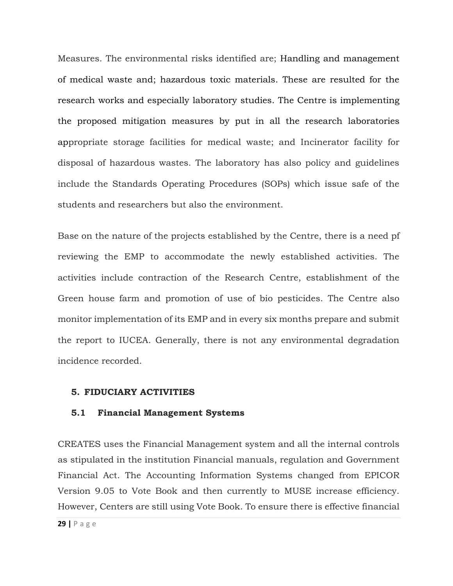Measures. The environmental risks identified are; Handling and management of medical waste and; hazardous toxic materials. These are resulted for the research works and especially laboratory studies. The Centre is implementing the proposed mitigation measures by put in all the research laboratories appropriate storage facilities for medical waste; and Incinerator facility for disposal of hazardous wastes. The laboratory has also policy and guidelines include the Standards Operating Procedures (SOPs) which issue safe of the students and researchers but also the environment.

Base on the nature of the projects established by the Centre, there is a need pf reviewing the EMP to accommodate the newly established activities. The activities include contraction of the Research Centre, establishment of the Green house farm and promotion of use of bio pesticides. The Centre also monitor implementation of its EMP and in every six months prepare and submit the report to IUCEA. Generally, there is not any environmental degradation incidence recorded.

#### <span id="page-29-0"></span>**5. FIDUCIARY ACTIVITIES**

#### <span id="page-29-1"></span>**5.1 Financial Management Systems**

CREATES uses the Financial Management system and all the internal controls as stipulated in the institution Financial manuals, regulation and Government Financial Act. The Accounting Information Systems changed from EPICOR Version 9.05 to Vote Book and then currently to MUSE increase efficiency. However, Centers are still using Vote Book. To ensure there is effective financial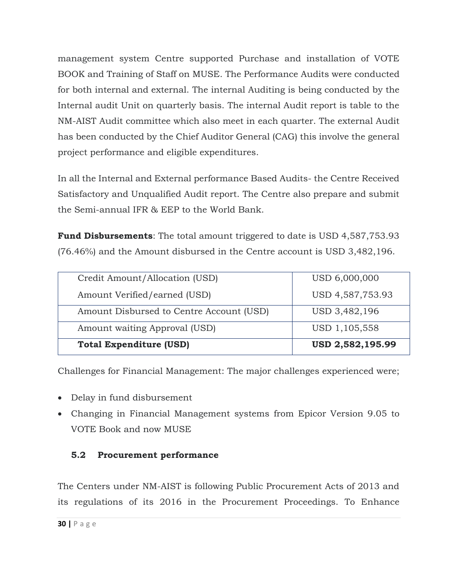management system Centre supported Purchase and installation of VOTE BOOK and Training of Staff on MUSE. The Performance Audits were conducted for both internal and external. The internal Auditing is being conducted by the Internal audit Unit on quarterly basis. The internal Audit report is table to the NM-AIST Audit committee which also meet in each quarter. The external Audit has been conducted by the Chief Auditor General (CAG) this involve the general project performance and eligible expenditures.

In all the Internal and External performance Based Audits- the Centre Received Satisfactory and Unqualified Audit report. The Centre also prepare and submit the Semi-annual IFR & EEP to the World Bank.

**Fund Disbursements**: The total amount triggered to date is USD 4,587,753.93 (76.46%) and the Amount disbursed in the Centre account is USD 3,482,196.

| Credit Amount/Allocation (USD)           | USD 6,000,000    |
|------------------------------------------|------------------|
| Amount Verified/earned (USD)             | USD 4,587,753.93 |
| Amount Disbursed to Centre Account (USD) | USD 3,482,196    |
| Amount waiting Approval (USD)            | USD 1,105,558    |
| <b>Total Expenditure (USD)</b>           | USD 2,582,195.99 |

Challenges for Financial Management: The major challenges experienced were;

- Delay in fund disbursement
- Changing in Financial Management systems from Epicor Version 9.05 to VOTE Book and now MUSE

## <span id="page-30-0"></span>**5.2 Procurement performance**

The Centers under NM-AIST is following Public Procurement Acts of 2013 and its regulations of its 2016 in the Procurement Proceedings. To Enhance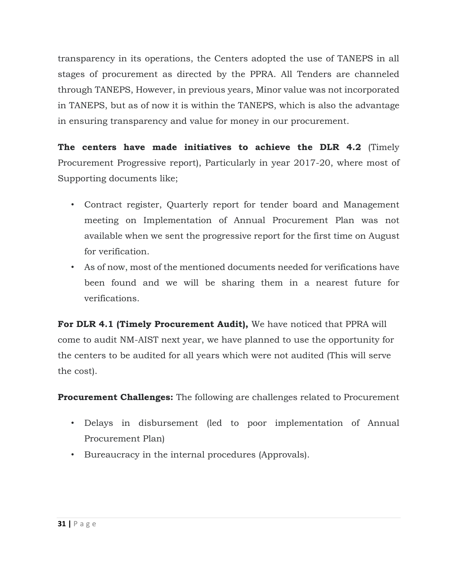transparency in its operations, the Centers adopted the use of TANEPS in all stages of procurement as directed by the PPRA. All Tenders are channeled through TANEPS, However, in previous years, Minor value was not incorporated in TANEPS, but as of now it is within the TANEPS, which is also the advantage in ensuring transparency and value for money in our procurement.

**The centers have made initiatives to achieve the DLR 4.2** (Timely Procurement Progressive report), Particularly in year 2017-20, where most of Supporting documents like;

- Contract register, Quarterly report for tender board and Management meeting on Implementation of Annual Procurement Plan was not available when we sent the progressive report for the first time on August for verification.
- As of now, most of the mentioned documents needed for verifications have been found and we will be sharing them in a nearest future for verifications.

**For DLR 4.1 (Timely Procurement Audit),** We have noticed that PPRA will come to audit NM-AIST next year, we have planned to use the opportunity for the centers to be audited for all years which were not audited (This will serve the cost).

**Procurement Challenges:** The following are challenges related to Procurement

- Delays in disbursement (led to poor implementation of Annual Procurement Plan)
- Bureaucracy in the internal procedures (Approvals).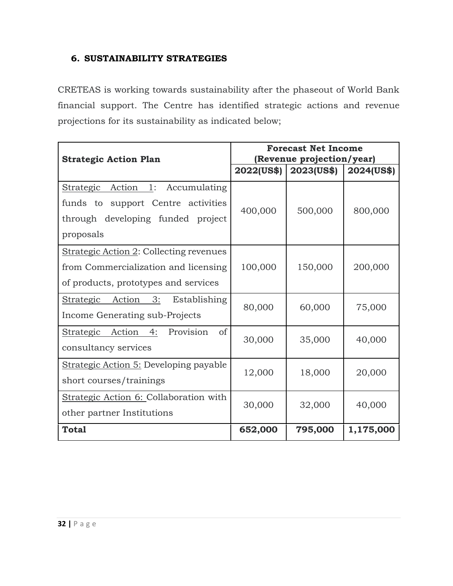## <span id="page-32-0"></span>**6. SUSTAINABILITY STRATEGIES**

CRETEAS is working towards sustainability after the phaseout of World Bank financial support. The Centre has identified strategic actions and revenue projections for its sustainability as indicated below;

| <b>Strategic Action Plan</b>                                                                                                   | <b>Forecast Net Income</b><br>(Revenue projection/year) |                   |            |  |
|--------------------------------------------------------------------------------------------------------------------------------|---------------------------------------------------------|-------------------|------------|--|
|                                                                                                                                | 2022(US\$)                                              | <b>2023(US\$)</b> | 2024(US\$) |  |
| Strategic Action 1:<br>Accumulating<br>funds to<br>support Centre activities<br>through developing funded project<br>proposals | 400,000                                                 | 500,000           | 800,000    |  |
| Strategic Action 2: Collecting revenues<br>from Commercialization and licensing<br>of products, prototypes and services        | 100,000                                                 | 150,000           | 200,000    |  |
| Action 3:<br>Strategic<br>Establishing<br>Income Generating sub-Projects                                                       | 80,000                                                  | 60,000            | 75,000     |  |
| Strategic Action<br>Provision<br>4:<br>of<br>consultancy services                                                              | 30,000                                                  | 35,000            | 40,000     |  |
| Strategic Action 5: Developing payable<br>short courses/trainings                                                              | 12,000                                                  | 18,000            | 20,000     |  |
| Strategic Action 6: Collaboration with<br>other partner Institutions                                                           | 30,000                                                  | 32,000            | 40,000     |  |
| <b>Total</b>                                                                                                                   | 652,000                                                 | 795,000           | 1,175,000  |  |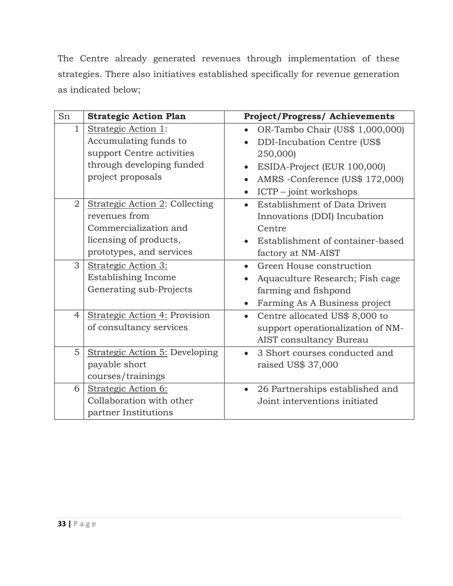The Centre already generated revenues through implementation of these strategies. There also initiatives established specifically for revenue generation as indicated below;

| Sn             | <b>Strategic Action Plan</b>   | <b>Project/Progress/Achievements</b>         |
|----------------|--------------------------------|----------------------------------------------|
| $\mathbf{1}$   | Strategic Action 1:            | OR-Tambo Chair (US\$ 1,000,000)              |
|                | Accumulating funds to          | DDI-Incubation Centre (US\$                  |
|                | support Centre activities      | 250,000)                                     |
|                | through developing funded      | ESIDA-Project (EUR 100,000)<br>$\bullet$     |
|                | project proposals              | AMRS -Conference (US\$ 172,000)<br>$\bullet$ |
|                |                                | ICTP - joint workshops                       |
| $\overline{2}$ | Strategic Action 2: Collecting | Establishment of Data Driven                 |
|                | revenues from                  | Innovations (DDI) Incubation                 |
|                | Commercialization and          | Centre                                       |
|                | licensing of products,         | Establishment of container-based             |
|                | prototypes, and services       | factory at NM-AIST                           |
| 3              | Strategic Action 3:            | Green House construction<br>$\bullet$        |
|                | Establishing Income            | Aquaculture Research; Fish cage              |
|                | Generating sub-Projects        | farming and fishpond                         |
|                |                                | Farming As A Business project                |
| $\overline{4}$ | Strategic Action 4: Provision  | Centre allocated US\$ 8,000 to<br>$\bullet$  |
|                | of consultancy services        | support operationalization of NM-            |
|                |                                | AIST consultancy Bureau                      |
| 5              | Strategic Action 5: Developing | 3 Short courses conducted and                |
|                | payable short                  | raised US\$ 37,000                           |
|                | courses/trainings              |                                              |
| 6              | Strategic Action 6:            | 26 Partnerships established and<br>$\bullet$ |
|                | Collaboration with other       | Joint interventions initiated                |
|                | partner Institutions           |                                              |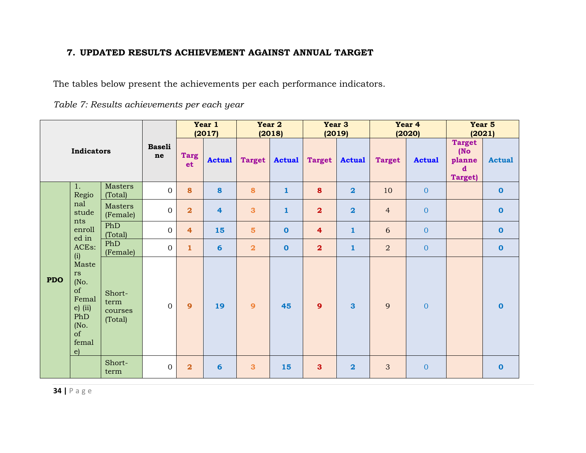## **7. UPDATED RESULTS ACHIEVEMENT AGAINST ANNUAL TARGET**

The tables below present the achievements per each performance indicators.

*Table 7: Results achievements per each year* 

<span id="page-34-0"></span>

|            |                                                                                             |                                      |                   |                         |                         |                         |                         |                         | Year 1<br>(2017)        | Year 2         | (2018)                                                           | Year 3        | (2019)       |  | Year 4<br>(2020) | Year 5<br>(2021) |  |
|------------|---------------------------------------------------------------------------------------------|--------------------------------------|-------------------|-------------------------|-------------------------|-------------------------|-------------------------|-------------------------|-------------------------|----------------|------------------------------------------------------------------|---------------|--------------|--|------------------|------------------|--|
| Indicators |                                                                                             | <b>Baseli</b><br>ne                  | <b>Targ</b><br>et | <b>Actual</b>           | <b>Target</b>           | <b>Actual</b>           | <b>Target</b>           | <b>Actual</b>           | <b>Target</b>           | <b>Actual</b>  | <b>Target</b><br>(No)<br>planne<br>$\mathbf d$<br><b>Target)</b> | <b>Actual</b> |              |  |                  |                  |  |
|            | 1.<br>Regio                                                                                 | Masters<br>(Total)                   | $\mathbf{0}$      | 8                       | 8                       | 8                       | $\mathbf{1}$            | 8                       | $\overline{\mathbf{2}}$ | 10             | $\overline{0}$                                                   |               | $\mathbf 0$  |  |                  |                  |  |
|            | nal<br>stude<br>nts<br>enroll<br>ed in<br>ACEs:<br>(i)                                      | Masters<br>(Female)                  | $\mathbf{O}$      | $\overline{\mathbf{2}}$ | $\overline{\mathbf{4}}$ | 3                       | $\mathbf{1}$            | $\overline{\mathbf{2}}$ | $\overline{\mathbf{2}}$ | $\overline{4}$ | $\mathbf{0}$                                                     |               | $\bf{0}$     |  |                  |                  |  |
|            |                                                                                             | PhD<br>(Total)                       | $\mathbf{O}$      | 4                       | 15                      | 5 <sup>5</sup>          | $\overline{\mathbf{0}}$ | $\overline{\mathbf{4}}$ | $\mathbf{1}$            | 6              | $\overline{0}$                                                   |               | $\mathbf 0$  |  |                  |                  |  |
|            |                                                                                             | PhD<br>(Female)                      | $\mathbf{O}$      | $\mathbf{1}$            | $6\phantom{1}6$         | $\overline{\mathbf{2}}$ | $\mathbf 0$             | $\overline{\mathbf{2}}$ | $\mathbf{1}$            | $\overline{a}$ | $\overline{0}$                                                   |               | $\bf{0}$     |  |                  |                  |  |
| <b>PDO</b> | Maste<br>rs<br>(No.<br>of<br>Femal<br>$e)$ (ii)<br>PhD<br>(No.<br>of<br>femal<br>$\epsilon$ | Short-<br>term<br>courses<br>(Total) | $\overline{0}$    | $\mathbf{9}$            | 19                      | $\overline{9}$          | 45                      | $\overline{9}$          | 3                       | 9              | $\mathbf{0}$                                                     |               | $\bf{0}$     |  |                  |                  |  |
|            |                                                                                             | Short-<br>term                       | $\overline{0}$    | $\overline{\mathbf{2}}$ | 6                       | 3                       | 15                      | $\mathbf{3}$            | $\overline{\mathbf{2}}$ | 3              | $\mathbf{0}$                                                     |               | $\mathbf{o}$ |  |                  |                  |  |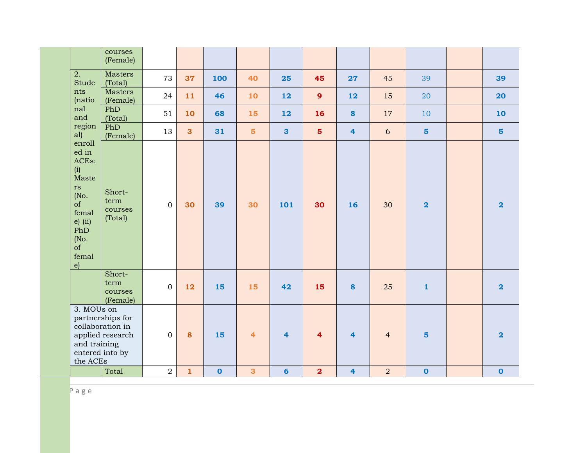|                                                                                                                                  | courses<br>(Female)                                                         |                |              |              |                         |                         |                         |                         |                |                |                         |
|----------------------------------------------------------------------------------------------------------------------------------|-----------------------------------------------------------------------------|----------------|--------------|--------------|-------------------------|-------------------------|-------------------------|-------------------------|----------------|----------------|-------------------------|
| 2.<br><b>Stude</b>                                                                                                               | <b>Masters</b><br>(Total)                                                   | 73             | 37           | 100          | 40                      | 25                      | 45                      | 27                      | 45             | 39             | 39                      |
| nts<br>(natio                                                                                                                    | <b>Masters</b><br>(Female)                                                  | 24             | 11           | 46           | 10                      | 12                      | $\overline{9}$          | 12                      | 15             | 20             | 20                      |
| nal<br>and                                                                                                                       | PhD<br>(Total)                                                              | 51             | 10           | 68           | 15                      | 12                      | 16                      | 8                       | 17             | 10             | 10                      |
| region<br>al)                                                                                                                    | PhD<br>(Female)                                                             | 13             | 3            | 31           | $\overline{\mathbf{5}}$ | $\overline{\mathbf{3}}$ | $\overline{\mathbf{5}}$ | $\overline{\mathbf{4}}$ | $6\,$          | $5\phantom{a}$ | $5\phantom{a}$          |
| enroll<br>ed in<br>ACEs:<br>(i)<br>Maste<br>rs<br>(No.<br>of<br>femal<br>$e)$ (ii)<br>PhD<br>(No.<br>of<br>femal<br>$\epsilon$ ) | Short-<br>term<br>courses<br>(Total)                                        | $\mathbf{0}$   | 30           | 39           | 30                      | 101                     | 30                      | 16                      | 30             | $\overline{2}$ | $\overline{\mathbf{2}}$ |
|                                                                                                                                  | Short-<br>term<br>courses<br>(Female)                                       | $\overline{0}$ | 12           | 15           | 15                      | 42                      | 15                      | 8                       | 25             | $\mathbf{1}$   | $\overline{\mathbf{2}}$ |
| 3. MOUs on<br>and training<br>the ACEs                                                                                           | partnerships for<br>collaboration in<br>applied research<br>entered into by | $\overline{0}$ | 8            | 15           | $\overline{4}$          | $\overline{4}$          | $\overline{4}$          | $\overline{4}$          | $\overline{4}$ | $5\phantom{1}$ | $\overline{\mathbf{2}}$ |
|                                                                                                                                  | Total                                                                       | $\overline{2}$ | $\mathbf{1}$ | $\mathbf{o}$ | $\overline{\mathbf{3}}$ | $6\overline{6}$         | $\overline{\mathbf{2}}$ | $\overline{4}$          | 2              | $\mathbf{o}$   | $\mathbf 0$             |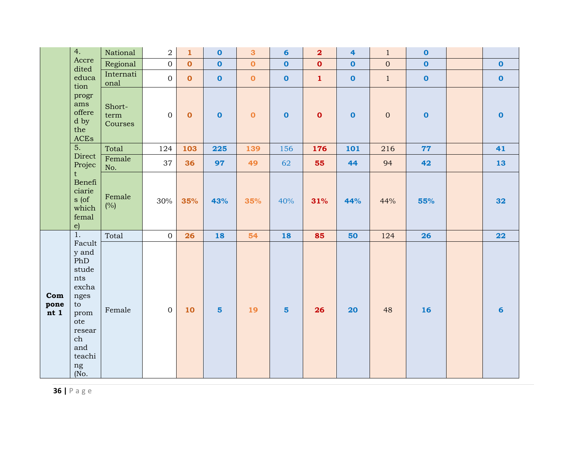|                     | 4.                                                                                                                          | National                  | $\overline{2}$ | $\mathbf{1}$ | $\mathbf 0$    | $\mathbf{3}$            | $6\phantom{a}$ | $\overline{\mathbf{2}}$ | 4            | $\mathbf{1}$ | $\mathbf 0$ |                 |
|---------------------|-----------------------------------------------------------------------------------------------------------------------------|---------------------------|----------------|--------------|----------------|-------------------------|----------------|-------------------------|--------------|--------------|-------------|-----------------|
|                     | Accre<br>dited                                                                                                              | Regional                  | $\overline{0}$ | $\mathbf{o}$ | $\mathbf 0$    | $\overline{\mathbf{0}}$ | $\mathbf 0$    | $\mathbf 0$             | $\mathbf 0$  | $\mathbf{0}$ | $\mathbf 0$ | $\mathbf{o}$    |
|                     | educa<br>tion                                                                                                               | Internati<br>onal         | $\mathbf{0}$   | $\mathbf 0$  | $\mathbf 0$    | $\mathbf 0$             | $\mathbf 0$    | $\mathbf{1}$            | $\mathbf{o}$ | $\mathbf{1}$ | $\mathbf 0$ | $\mathbf 0$     |
|                     | progr<br>ams<br>offere<br>d by<br>the<br>ACEs                                                                               | Short-<br>term<br>Courses | $\mathbf{0}$   | $\mathbf 0$  | $\mathbf{o}$   | $\mathbf{o}$            | $\mathbf 0$    | $\mathbf{o}$            | $\mathbf 0$  | $\mathbf 0$  | $\mathbf 0$ | $\mathbf 0$     |
|                     | $\overline{5}$ .                                                                                                            | Total                     | 124            | 103          | 225            | 139                     | 156            | 176                     | 101          | 216          | 77          | 41              |
|                     | Direct<br>Projec                                                                                                            | Female<br>No.             | 37             | 36           | 97             | 49                      | 62             | 55                      | 44           | 94           | 42          | 13              |
|                     | $\mathbf t$<br>Benefi<br>ciarie<br>s (of<br>which<br>femal<br>$\epsilon$                                                    | Female<br>(%)             | 30%            | 35%          | 43%            | 35%                     | 40%            | 31%                     | 44%          | 44%          | 55%         | 32              |
|                     | $1.$                                                                                                                        | Total                     | $\mathbf{0}$   | 26           | 18             | 54                      | 18             | 85                      | 50           | 124          | 26          | 22              |
| Com<br>pone<br>nt 1 | Facult<br>y and<br>PhD<br>stude<br>nts<br>excha<br>nges<br>to<br>prom<br>ote<br>resear<br>ch<br>and<br>teachi<br>ng<br>(No. | Female                    | $\overline{0}$ | 10           | $5\phantom{a}$ | 19                      | $5\phantom{1}$ | 26                      | 20           | 48           | 16          | $6\phantom{1}6$ |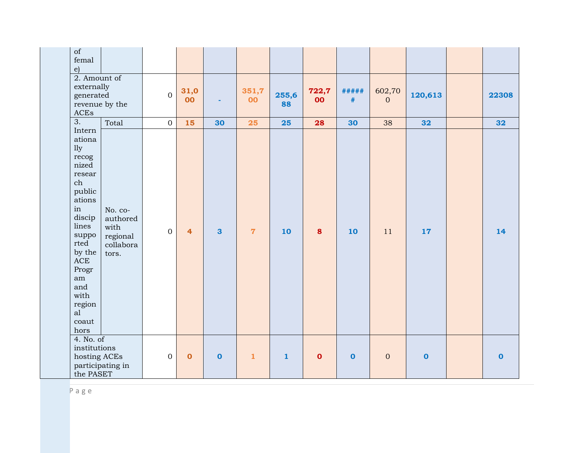| of<br>femal<br>$\epsilon$                                                                                                                                                                                      |                                                               |                  |                |                         |                |              |              |               |                          |             |             |
|----------------------------------------------------------------------------------------------------------------------------------------------------------------------------------------------------------------|---------------------------------------------------------------|------------------|----------------|-------------------------|----------------|--------------|--------------|---------------|--------------------------|-------------|-------------|
| 2. Amount of<br>externally<br>generated<br>$\operatorname{ACEs}$                                                                                                                                               | revenue by the                                                | $\overline{0}$   | 31,0<br>00     |                         | 351,7<br>00    | 255,6<br>88  | 722,7<br>00  | #####<br>$\#$ | 602,70<br>$\overline{0}$ | 120,613     | 22308       |
| $\overline{3}$ .                                                                                                                                                                                               | Total                                                         | $\boldsymbol{0}$ | 15             | 30                      | 25             | 25           | 28           | 30            | 38                       | 32          | 32          |
| Intern<br>ationa<br>11y<br>recog<br>nized<br>resear<br>ch<br>public<br>ations<br>in<br>discip<br>lines<br>suppo<br>rted<br>by the<br>$\rm{ACE}$<br>Progr<br>am<br>and<br>with<br>region<br>al<br>coaut<br>hors | No. co-<br>authored<br>with<br>regional<br>collabora<br>tors. | $\overline{0}$   | $\overline{4}$ | $\overline{\mathbf{3}}$ | $\overline{7}$ | 10           | 8            | 10            | 11                       | 17          | 14          |
| 4. No. of<br>institutions<br>hosting ACEs<br>the PASET                                                                                                                                                         | participating in                                              | $\mathbf{0}$     | $\mathbf{o}$   | $\mathbf 0$             | $\mathbf{1}$   | $\mathbf{1}$ | $\mathbf{o}$ | $\mathbf 0$   | $\mathbf{0}$             | $\mathbf 0$ | $\mathbf 0$ |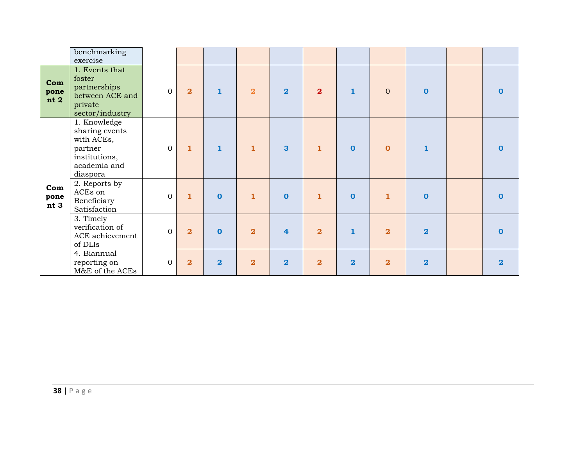|                     | benchmarking<br>exercise                                                                             |              |                         |                |                         |                         |                |                |                         |                         |                |
|---------------------|------------------------------------------------------------------------------------------------------|--------------|-------------------------|----------------|-------------------------|-------------------------|----------------|----------------|-------------------------|-------------------------|----------------|
| Com<br>pone<br>nt 2 | 1. Events that<br>foster<br>partnerships<br>between ACE and<br>private<br>sector/industry            | $\mathbf{0}$ | $\overline{\mathbf{2}}$ | $\mathbf{1}$   | $\overline{\mathbf{2}}$ | $\overline{\mathbf{2}}$ | $\overline{2}$ | $\mathbf{1}$   | $\overline{0}$          | $\bf{0}$                | n              |
|                     | 1. Knowledge<br>sharing events<br>with ACEs,<br>partner<br>institutions,<br>academia and<br>diaspora | $\mathbf{0}$ | $\mathbf{1}$            | 1              | $\mathbf{1}$            | 3                       | $\mathbf{1}$   | $\mathbf 0$    | $\mathbf 0$             |                         | n              |
| Com<br>pone<br>nt 3 | 2. Reports by<br>ACEs on<br>Beneficiary<br>Satisfaction                                              | $\mathbf{0}$ | $\mathbf{1}$            | $\mathbf{0}$   | $\mathbf{1}$            | $\mathbf 0$             | $\mathbf{1}$   | $\Omega$       | $\mathbf{1}$            | $\mathbf{O}$            | n              |
|                     | 3. Timely<br>verification of<br>ACE achievement<br>of DLIs                                           | $\mathbf{0}$ | $\overline{\mathbf{2}}$ | $\mathbf{0}$   | $\overline{\mathbf{2}}$ | $\overline{\mathbf{4}}$ | $\overline{2}$ | $\mathbf{1}$   | $\overline{\mathbf{2}}$ | $\overline{\mathbf{2}}$ | n              |
|                     | 4. Biannual<br>reporting on<br>M&E of the ACEs                                                       | $\mathbf{0}$ | $\overline{2}$          | $\overline{2}$ | $\overline{\mathbf{2}}$ | $\overline{\mathbf{2}}$ | $\overline{2}$ | $\overline{2}$ | $\overline{\mathbf{2}}$ | $\overline{\mathbf{2}}$ | $\overline{2}$ |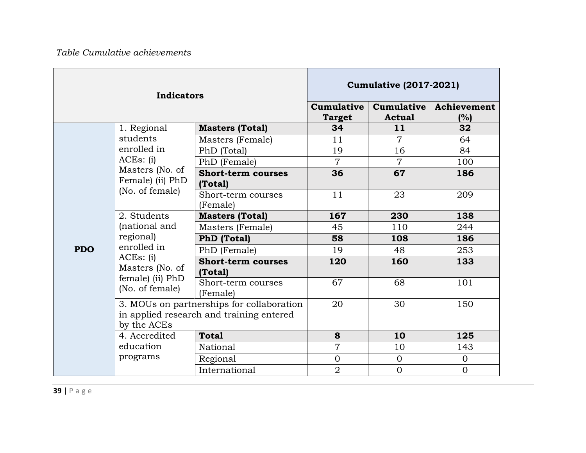|            | <b>Indicators</b>                   |                                                                                       |                             | <b>Cumulative (2017-2021)</b> |                    |  |  |
|------------|-------------------------------------|---------------------------------------------------------------------------------------|-----------------------------|-------------------------------|--------------------|--|--|
|            |                                     |                                                                                       | Cumulative<br><b>Target</b> | Cumulative<br><b>Actual</b>   | Achievement<br>(%) |  |  |
|            | 1. Regional                         | <b>Masters (Total)</b>                                                                | 34                          | 11                            | 32                 |  |  |
|            | students                            | Masters (Female)                                                                      | 11                          | 7                             | 64                 |  |  |
|            | enrolled in                         | PhD (Total)                                                                           | 19                          | 16                            | 84                 |  |  |
|            | ACEs: (i)                           | PhD (Female)                                                                          | $\overline{7}$              | $\overline{7}$                | 100                |  |  |
|            | Masters (No. of<br>Female) (ii) PhD | <b>Short-term courses</b><br>(Total)                                                  | 36                          | 67                            | 186                |  |  |
|            | (No. of female)                     | Short-term courses<br>(Female)                                                        | 11                          | 23                            | 209                |  |  |
|            | 2. Students                         | <b>Masters (Total)</b>                                                                | 167                         | 230                           | 138                |  |  |
|            | (national and                       | Masters (Female)                                                                      | 45                          | 110                           | 244                |  |  |
|            | regional)                           | <b>PhD</b> (Total)                                                                    | 58                          | 108                           | 186                |  |  |
| <b>PDO</b> | enrolled in                         | PhD (Female)                                                                          | 19                          | 48                            | 253                |  |  |
|            | ACEs: (i)<br>Masters (No. of        | <b>Short-term courses</b><br>(Total)                                                  | 120                         | 160                           | 133                |  |  |
|            | female) (ii) PhD<br>(No. of female) | Short-term courses<br>(Female)                                                        | 67                          | 68                            | 101                |  |  |
|            | by the ACEs                         | 3. MOUs on partnerships for collaboration<br>in applied research and training entered | 20                          | 30                            | 150                |  |  |
|            | 4. Accredited                       | <b>Total</b>                                                                          | 8                           | 10                            | 125                |  |  |
|            | education                           | National                                                                              | $\overline{7}$              | 10                            | 143                |  |  |
|            | programs                            | Regional                                                                              | $\mathbf{0}$                | $\mathbf 0$                   | $\overline{O}$     |  |  |
|            |                                     | International                                                                         | $\overline{2}$              | $\overline{0}$                | $\overline{0}$     |  |  |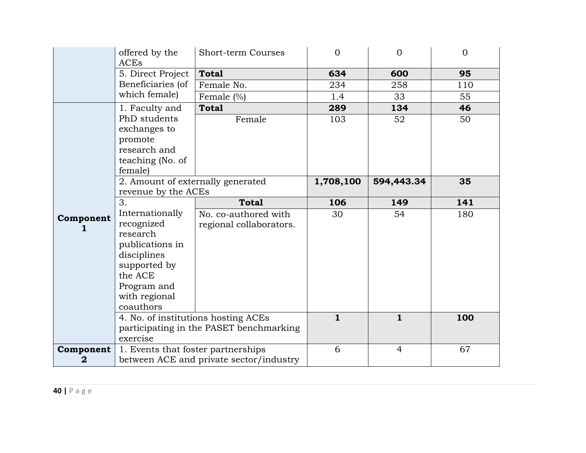|           | offered by the<br>ACEs             | <b>Short-term Courses</b>               | $\Omega$     | $\overline{0}$ | $\Omega$ |
|-----------|------------------------------------|-----------------------------------------|--------------|----------------|----------|
|           | 5. Direct Project                  | <b>Total</b>                            | 634          | 600            | 95       |
|           | Beneficiaries (of                  | Female No.                              | 234          | 258            | 110      |
|           | which female)                      | Female $(\%)$                           | 1.4          | 33             | 55       |
|           | 1. Faculty and                     | <b>Total</b>                            | 289          | 134            | 46       |
|           | PhD students                       | Female                                  | 103          | 52             | 50       |
|           | exchanges to                       |                                         |              |                |          |
|           | promote                            |                                         |              |                |          |
|           | research and                       |                                         |              |                |          |
|           | teaching (No. of                   |                                         |              |                |          |
|           | female)                            |                                         |              |                |          |
|           | 2. Amount of externally generated  |                                         | 1,708,100    | 594,443.34     | 35       |
|           | revenue by the ACEs                |                                         |              |                |          |
|           | 3.<br>Internationally              | <b>Total</b>                            | 106          | 149            | 141      |
|           |                                    |                                         |              |                |          |
|           |                                    | No. co-authored with                    | 30           | 54             | 180      |
| Component | recognized                         | regional collaborators.                 |              |                |          |
|           | research                           |                                         |              |                |          |
|           | publications in                    |                                         |              |                |          |
|           | disciplines                        |                                         |              |                |          |
|           | supported by                       |                                         |              |                |          |
|           | the ACE                            |                                         |              |                |          |
|           | Program and                        |                                         |              |                |          |
|           | with regional<br>coauthors         |                                         |              |                |          |
|           |                                    | 4. No. of institutions hosting ACEs     | $\mathbf{1}$ | $\mathbf{1}$   | 100      |
|           |                                    | participating in the PASET benchmarking |              |                |          |
|           | exercise                           |                                         |              |                |          |
| Component | 1. Events that foster partnerships | between ACE and private sector/industry | 6            | $\overline{4}$ | 67       |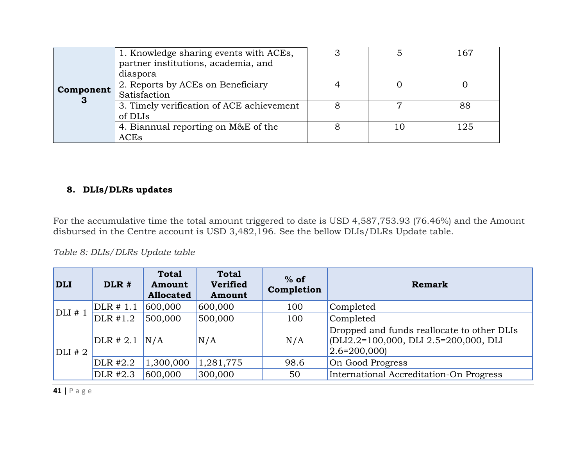|           | 1. Knowledge sharing events with ACEs,<br>partner institutions, academia, and<br>diaspora |  | 167 |
|-----------|-------------------------------------------------------------------------------------------|--|-----|
| Component | 2. Reports by ACEs on Beneficiary<br>Satisfaction                                         |  |     |
| 3         | 3. Timely verification of ACE achievement<br>of DLIs                                      |  | 88  |
|           | 4. Biannual reporting on M&E of the<br>ACEs                                               |  | 125 |

#### **8. DLIs/DLRs updates**

For the accumulative time the total amount triggered to date is USD 4,587,753.93 (76.46%) and the Amount disbursed in the Centre account is USD 3,482,196. See the bellow DLIs/DLRs Update table.

#### *Table 8: DLIs/DLRs Update table*

<span id="page-41-0"></span>

| <b>DLI</b> | DLR #             | <b>Total</b><br>Amount<br><b>Allocated</b> | <b>Total</b><br>Verified<br>Amount | $%$ of<br>Completion | Remark                                                                                                               |  |  |
|------------|-------------------|--------------------------------------------|------------------------------------|----------------------|----------------------------------------------------------------------------------------------------------------------|--|--|
|            | DLR # 1.1         | 600,000                                    | 600,000                            | 100                  | Completed                                                                                                            |  |  |
| $DLI$ # 1  | DLR #1.2          | 500,000                                    | 500,000                            | 100                  | Completed                                                                                                            |  |  |
| $DLI$ # 2  | $DLR$ # 2.1 $N/A$ |                                            | N/A                                | N/A                  | Dropped and funds reallocate to other DLIs<br>$[DLI2.2=100,000, DLI2.5=200,000, DLI]$<br>$\vert 2.6 = 200,000 \vert$ |  |  |
|            | DLR #2.2          | 1,300,000                                  | 1,281,775                          | 98.6                 | On Good Progress                                                                                                     |  |  |
|            | DLR #2.3          | 600,000                                    | 300,000                            | 50                   | International Accreditation-On Progress                                                                              |  |  |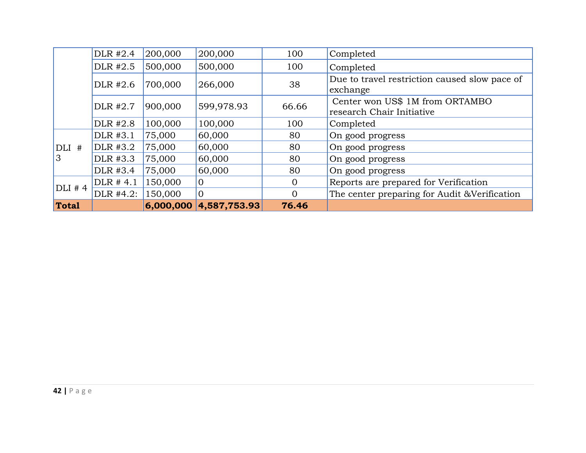|          | DLR #2.4  | 200,000   | 200,000        | 100            | Completed                                                    |
|----------|-----------|-----------|----------------|----------------|--------------------------------------------------------------|
|          | DLR #2.5  | 500,000   | 500,000        | 100            | Completed                                                    |
|          | DLR #2.6  | 700,000   | 266,000        | 38             | Due to travel restriction caused slow pace of<br>exchange    |
|          | DLR #2.7  | 900,000   | 599,978.93     | 66.66          | Center won US\$ 1M from ORTAMBO<br>research Chair Initiative |
|          | DLR #2.8  | 100,000   | 100,000        | 100            | Completed                                                    |
|          | DLR #3.1  | 75,000    | 60,000         | 80             | On good progress                                             |
| $DLI$ #  | DLR #3.2  | 75,000    | 60,000         | 80             | On good progress                                             |
| 3        | DLR #3.3  | 75,000    | 60,000         | 80             | On good progress                                             |
|          | DLR #3.4  | 75,000    | 60,000         | 80             | On good progress                                             |
| $DLI$ #4 | DLR # 4.1 | 150,000   | $\mathbf{0}$   | $\overline{0}$ | Reports are prepared for Verification                        |
|          | DLR #4.2: | 150,000   | $\overline{0}$ | $\Omega$       | The center preparing for Audit & Verification                |
| Total    |           | 6,000,000 | 4,587,753.93   | 76.46          |                                                              |